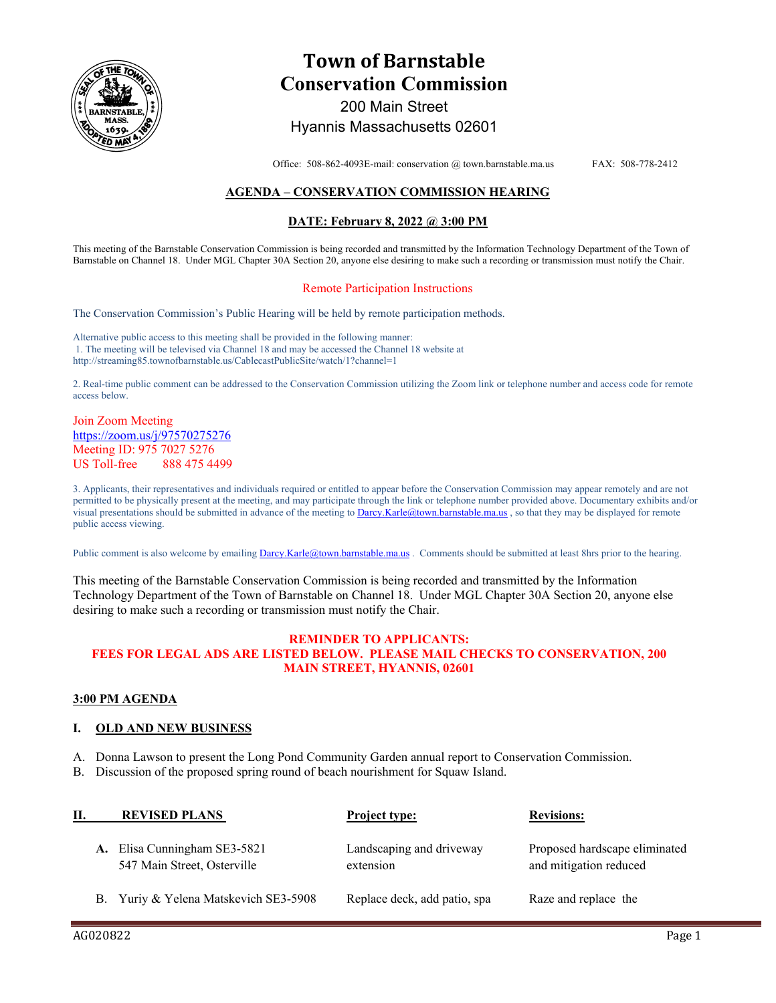

# **Town of Barnstable Conservation Commission**  200 Main Street

## Hyannis Massachusetts 02601

Office: 508-862-4093E-mail: conservation @ town.barnstable.ma.us FAX: 508-778-2412

### **AGENDA – CONSERVATION COMMISSION HEARING**

#### **DATE: February 8, 2022 @ 3:00 PM**

This meeting of the Barnstable Conservation Commission is being recorded and transmitted by the Information Technology Department of the Town of Barnstable on Channel 18. Under MGL Chapter 30A Section 20, anyone else desiring to make such a recording or transmission must notify the Chair.

#### Remote Participation Instructions

The Conservation Commission's Public Hearing will be held by remote participation methods.

Alternative public access to this meeting shall be provided in the following manner: 1. The meeting will be televised via Channel 18 and may be accessed the Channel 18 website at http://streaming85.townofbarnstable.us/CablecastPublicSite/watch/1?channel=1

2. Real-time public comment can be addressed to the Conservation Commission utilizing the Zoom link or telephone number and access code for remote access below.

#### Join Zoom Meeting https://zoom.us/j/97570275276 Meeting ID: 975 7027 5276 US Toll-free 888 475 4499

3. Applicants, their representatives and individuals required or entitled to appear before the Conservation Commission may appear remotely and are not permitted to be physically present at the meeting, and may participate through the link or telephone number provided above. Documentary exhibits and/or visual presentations should be submitted in advance of the meeting to Darcy.Karle@town.barnstable.ma.us, so that they may be displayed for remote public access viewing.

Public comment is also welcome by emailing **Darcy.Karle@town.barnstable.ma.us**. Comments should be submitted at least 8hrs prior to the hearing.

This meeting of the Barnstable Conservation Commission is being recorded and transmitted by the Information Technology Department of the Town of Barnstable on Channel 18. Under MGL Chapter 30A Section 20, anyone else desiring to make such a recording or transmission must notify the Chair.

#### **REMINDER TO APPLICANTS: FEES FOR LEGAL ADS ARE LISTED BELOW. PLEASE MAIL CHECKS TO CONSERVATION, 200 MAIN STREET, HYANNIS, 02601**

#### **3:00 PM AGENDA**

#### **I. OLD AND NEW BUSINESS**

- A. Donna Lawson to present the Long Pond Community Garden annual report to Conservation Commission.
- B. Discussion of the proposed spring round of beach nourishment for Squaw Island.

| П. | <b>REVISED PLANS</b>                                        | <b>Project type:</b>                  | <b>Revisions:</b>                                       |
|----|-------------------------------------------------------------|---------------------------------------|---------------------------------------------------------|
|    | A. Elisa Cunningham SE3-5821<br>547 Main Street, Osterville | Landscaping and driveway<br>extension | Proposed hardscape eliminated<br>and mitigation reduced |
|    | B. Yuriy & Yelena Matskevich SE3-5908                       | Replace deck, add patio, spa          | Raze and replace the                                    |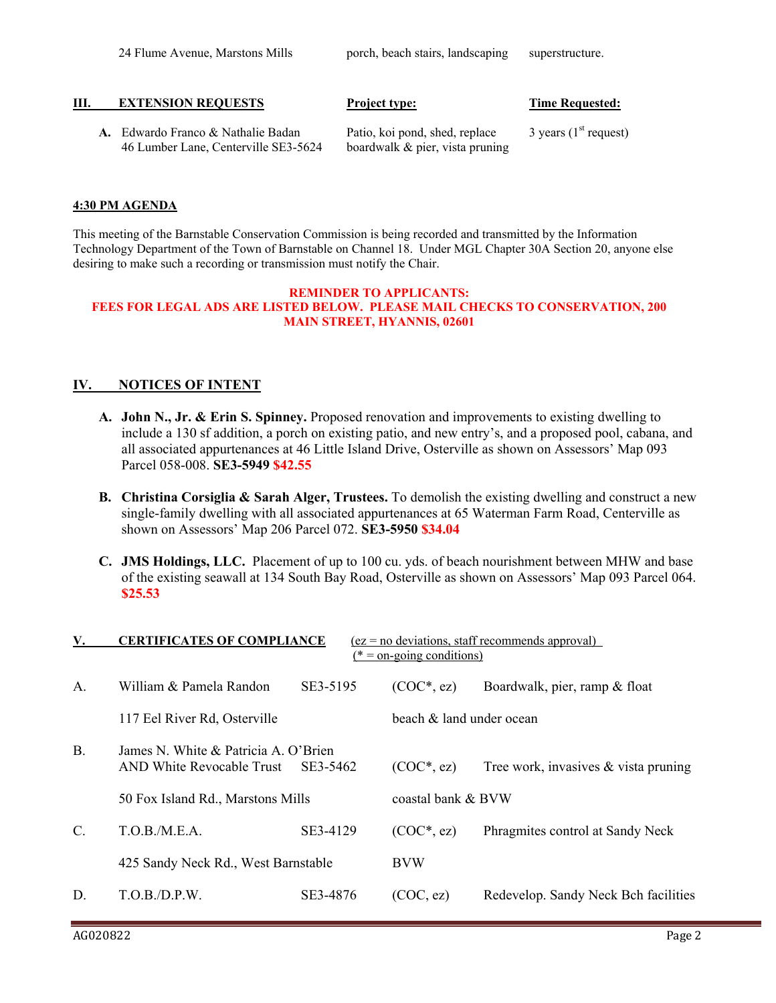| <b>EXTENSION REOUESTS</b><br>HI.<br><b>Time Requested:</b><br><b>Project type:</b> |
|------------------------------------------------------------------------------------|
|------------------------------------------------------------------------------------|

**A.** Edwardo Franco & Nathalie Badan Patio, koi pond, shed, replace 3 years (1<sup>st</sup> request) 46 Lumber Lane, Centerville SE3-5624 boardwalk & pier, vista pruning

#### **4:30 PM AGENDA**

This meeting of the Barnstable Conservation Commission is being recorded and transmitted by the Information Technology Department of the Town of Barnstable on Channel 18. Under MGL Chapter 30A Section 20, anyone else desiring to make such a recording or transmission must notify the Chair.

#### **REMINDER TO APPLICANTS: FEES FOR LEGAL ADS ARE LISTED BELOW. PLEASE MAIL CHECKS TO CONSERVATION, 200 MAIN STREET, HYANNIS, 02601**

### **IV. NOTICES OF INTENT**

- **A. John N., Jr. & Erin S. Spinney.** Proposed renovation and improvements to existing dwelling to include a 130 sf addition, a porch on existing patio, and new entry's, and a proposed pool, cabana, and all associated appurtenances at 46 Little Island Drive, Osterville as shown on Assessors' Map 093 Parcel 058-008. **SE3-5949 \$42.55**
- **B. Christina Corsiglia & Sarah Alger, Trustees.** To demolish the existing dwelling and construct a new single-family dwelling with all associated appurtenances at 65 Waterman Farm Road, Centerville as shown on Assessors' Map 206 Parcel 072. **SE3-5950 \$34.04**
- **C. JMS Holdings, LLC.** Placement of up to 100 cu. yds. of beach nourishment between MHW and base of the existing seawall at 134 South Bay Road, Osterville as shown on Assessors' Map 093 Parcel 064. **\$25.53**

| <b>V.</b>       | <b>CERTIFICATES OF COMPLIANCE</b>                                 |          | $(*)$ = on-going conditions) | $(ez = no deviations, staff recommends approval)$ |  |
|-----------------|-------------------------------------------------------------------|----------|------------------------------|---------------------------------------------------|--|
| $\mathsf{A}$ .  | William & Pamela Randon                                           | SE3-5195 | $(COC*, ez)$                 | Boardwalk, pier, ramp & float                     |  |
|                 | 117 Eel River Rd, Osterville                                      |          | beach & land under ocean     |                                                   |  |
| <b>B.</b>       | James N. White & Patricia A. O'Brien<br>AND White Revocable Trust | SE3-5462 | $(COC*, ez)$                 | Tree work, invasives & vista pruning              |  |
|                 | 50 Fox Island Rd., Marstons Mills                                 |          | coastal bank & BVW           |                                                   |  |
| $\mathcal{C}$ . | T.O.B./M.E.A.                                                     | SE3-4129 | $(COC*, ez)$                 | Phragmites control at Sandy Neck                  |  |
|                 | 425 Sandy Neck Rd., West Barnstable                               |          | <b>BVW</b>                   |                                                   |  |
| D.              | T.O.B/D.P.W.                                                      | SE3-4876 | (COC, ez)                    | Redevelop. Sandy Neck Bch facilities              |  |